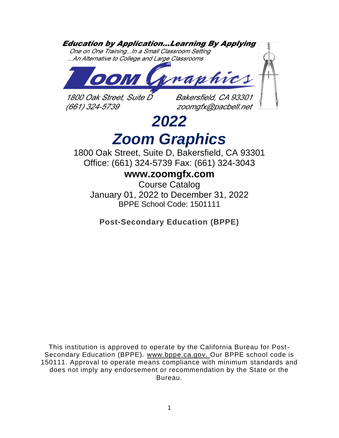# **Education by Application...Learning By Applying**

One on One Training...In a Small Classroom Setting ...An Alternative to College and Large Classrooms



1800 Oak Street. Suite D (661) 324-5739

Bakersfield, CA 93301 zoomgfx@pacbell.net

# *2022 Zoom Graphics*

1800 Oak Street, Suite D, Bakersfield, CA 93301 Office: (661) 324-5739 Fax: (661) 324-3043

# **www.zoomgfx.com**

Course Catalog January 01, 2022 to December 31, 2022 BPPE School Code: 1501111

**Post-Secondary Education (BPPE)**

This institution is approved to operate by the California Bureau for Post-Secondary Education (BPPE). [www.bppe.ca.gov.](http://www.bppe.ca.gov/) Our BPPE school code is 150111. Approval to operate means compliance with minimum standards and does not imply any endorsement or recommendation by the State or the Bureau.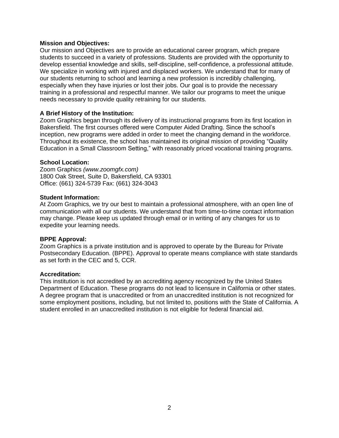# **Mission and Objectives:**

Our mission and Objectives are to provide an educational career program, which prepare students to succeed in a variety of professions. Students are provided with the opportunity to develop essential knowledge and skills, self-discipline, self-confidence, a professional attitude. We specialize in working with injured and displaced workers. We understand that for many of our students returning to school and learning a new profession is incredibly challenging, especially when they have injuries or lost their jobs. Our goal is to provide the necessary training in a professional and respectful manner. We tailor our programs to meet the unique needs necessary to provide quality retraining for our students.

# **A Brief History of the Institution:**

Zoom Graphics began through its delivery of its instructional programs from its first location in Bakersfield. The first courses offered were Computer Aided Drafting. Since the school's inception, new programs were added in order to meet the changing demand in the workforce. Throughout its existence, the school has maintained its original mission of providing "Quality Education in a Small Classroom Setting," with reasonably priced vocational training programs.

# **School Location:**

Zoom Graphics *(www.zoomgfx.com)*  1800 Oak Street, Suite D, Bakersfield, CA 93301 Office: (661) 324-5739 Fax: (661) 324-3043

#### **Student Information:**

At Zoom Graphics, we try our best to maintain a professional atmosphere, with an open line of communication with all our students. We understand that from time-to-time contact information may change. Please keep us updated through email or in writing of any changes for us to expedite your learning needs.

#### **BPPE Approval:**

Zoom Graphics is a private institution and is approved to operate by the Bureau for Private Postsecondary Education. (BPPE). Approval to operate means compliance with state standards as set forth in the CEC and 5, CCR.

#### **Accreditation:**

This institution is not accredited by an accrediting agency recognized by the United States Department of Education. These programs do not lead to licensure in California or other states. A degree program that is unaccredited or from an unaccredited institution is not recognized for some employment positions, including, but not limited to, positions with the State of California. A student enrolled in an unaccredited institution is not eligible for federal financial aid.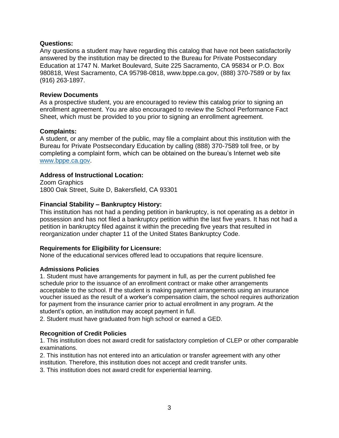# **Questions:**

Any questions a student may have regarding this catalog that have not been satisfactorily answered by the institution may be directed to the Bureau for Private Postsecondary Education at 1747 N. Market Boulevard, Suite 225 Sacramento, CA 95834 or P.O. Box 980818, West Sacramento, CA 95798-0818, www.bppe.ca.gov, (888) 370-7589 or by fax (916) 263-1897.

# **Review Documents**

As a prospective student, you are encouraged to review this catalog prior to signing an enrollment agreement. You are also encouraged to review the School Performance Fact Sheet, which must be provided to you prior to signing an enrollment agreement.

# **Complaints:**

A student, or any member of the public, may file a complaint about this institution with the Bureau for Private Postsecondary Education by calling (888) 370-7589 toll free, or by completing a complaint form, which can be obtained on the bureau's Internet web site [www.bppe.ca.gov.](http://www.bppe.ca.gov/)

# **Address of Instructional Location:**

Zoom Graphics 1800 Oak Street, Suite D, Bakersfield, CA 93301

# **Financial Stability – Bankruptcy History:**

This institution has not had a pending petition in bankruptcy, is not operating as a debtor in possession and has not filed a bankruptcy petition within the last five years. It has not had a petition in bankruptcy filed against it within the preceding five years that resulted in reorganization under chapter 11 of the United States Bankruptcy Code.

#### **Requirements for Eligibility for Licensure:**

None of the educational services offered lead to occupations that require licensure.

#### **Admissions Policies**

1. Student must have arrangements for payment in full, as per the current published fee schedule prior to the issuance of an enrollment contract or make other arrangements acceptable to the school. If the student is making payment arrangements using an insurance voucher issued as the result of a worker's compensation claim, the school requires authorization for payment from the insurance carrier prior to actual enrollment in any program. At the student's option, an institution may accept payment in full.

2. Student must have graduated from high school or earned a GED.

#### **Recognition of Credit Policies**

1. This institution does not award credit for satisfactory completion of CLEP or other comparable examinations.

2. This institution has not entered into an articulation or transfer agreement with any other institution. Therefore, this institution does not accept and credit transfer units.

3. This institution does not award credit for experiential learning.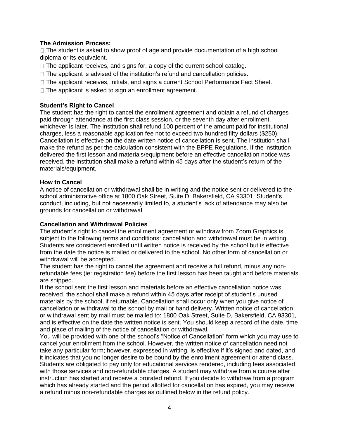# **The Admission Process:**

 $\Box$  The student is asked to show proof of age and provide documentation of a high school diploma or its equivalent.

- $\Box$  The applicant receives, and signs for, a copy of the current school catalog.
- $\Box$  The applicant is advised of the institution's refund and cancellation policies.
- □ The applicant receives, initials, and signs a current School Performance Fact Sheet.
- $\Box$  The applicant is asked to sign an enrollment agreement.

# **Student's Right to Cancel**

The student has the right to cancel the enrollment agreement and obtain a refund of charges paid through attendance at the first class session, or the seventh day after enrollment, whichever is later. The institution shall refund 100 percent of the amount paid for institutional charges, less a reasonable application fee not to exceed two hundred fifty dollars (\$250). Cancellation is effective on the date written notice of cancellation is sent. The institution shall make the refund as per the calculation consistent with the BPPE Regulations. If the institution delivered the first lesson and materials/equipment before an effective cancellation notice was received, the institution shall make a refund within 45 days after the student's return of the materials/equipment.

# **How to Cancel**

A notice of cancellation or withdrawal shall be in writing and the notice sent or delivered to the school administrative office at 1800 Oak Street, Suite D, Bakersfield, CA 93301. Student's conduct, including, but not necessarily limited to, a student's lack of attendance may also be grounds for cancellation or withdrawal.

# **Cancellation and Withdrawal Policies**

The student's right to cancel the enrollment agreement or withdraw from Zoom Graphics is subject to the following terms and conditions: cancellation and withdrawal must be in writing. Students are considered enrolled until written notice is received by the school but is effective from the date the notice is mailed or delivered to the school. No other form of cancellation or withdrawal will be accepted.

The student has the right to cancel the agreement and receive a full refund, minus any nonrefundable fees (ie: registration fee) before the first lesson has been taught and before materials are shipped.

If the school sent the first lesson and materials before an effective cancellation notice was received, the school shall make a refund within 45 days after receipt of student's unused materials by the school, if returnable. Cancellation shall occur only when you give notice of cancellation or withdrawal to the school by mail or hand delivery. Written notice of cancellation or withdrawal sent by mail must be mailed to: 1800 Oak Street, Suite D, Bakersfield, CA 93301, and is effective on the date the written notice is sent. You should keep a record of the date, time and place of mailing of the notice of cancellation or withdrawal.

You will be provided with one of the school's "Notice of Cancellation" form which you may use to cancel your enrollment from the school. However, the written notice of cancellation need not take any particular form; however, expressed in writing, is effective if it's signed and dated, and it indicates that you no longer desire to be bound by the enrollment agreement or attend class. Students are obligated to pay only for educational services rendered, including fees associated with those services and non-refundable charges. A student may withdraw from a course after instruction has started and receive a prorated refund. If you decide to withdraw from a program which has already started and the period allotted for cancellation has expired, you may receive a refund minus non-refundable charges as outlined below in the refund policy.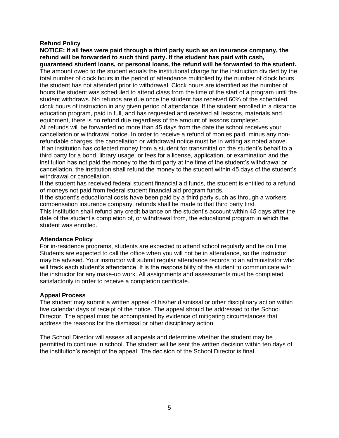# **Refund Policy**

**NOTICE: If all fees were paid through a third party such as an insurance company, the refund will be forwarded to such third party. If the student has paid with cash, guaranteed student loans, or personal loans, the refund will be forwarded to the student.**  The amount owed to the student equals the institutional charge for the instruction divided by the total number of clock hours in the period of attendance multiplied by the number of clock hours the student has not attended prior to withdrawal. Clock hours are identified as the number of hours the student was scheduled to attend class from the time of the start of a program until the student withdraws. No refunds are due once the student has received 60% of the scheduled clock hours of instruction in any given period of attendance. If the student enrolled in a distance education program, paid in full, and has requested and received all lessons, materials and equipment, there is no refund due regardless of the amount of lessons completed. All refunds will be forwarded no more than 45 days from the date the school receives your

cancellation or withdrawal notice. In order to receive a refund of monies paid, minus any nonrefundable charges, the cancellation or withdrawal notice must be in writing as noted above.

If an institution has collected money from a student for transmittal on the student's behalf to a third party for a bond, library usage, or fees for a license, application, or examination and the institution has not paid the money to the third party at the time of the student's withdrawal or cancellation, the institution shall refund the money to the student within 45 days of the student's withdrawal or cancellation.

If the student has received federal student financial aid funds, the student is entitled to a refund of moneys not paid from federal student financial aid program funds.

If the student's educational costs have been paid by a third party such as through a workers compensation insurance company, refunds shall be made to that third party first.

This institution shall refund any credit balance on the student's account within 45 days after the date of the student's completion of, or withdrawal from, the educational program in which the student was enrolled.

# **Attendance Policy**

For in-residence programs, students are expected to attend school regularly and be on time. Students are expected to call the office when you will not be in attendance, so the instructor may be advised. Your instructor will submit regular attendance records to an administrator who will track each student's attendance. It is the responsibility of the student to communicate with the instructor for any make-up work. All assignments and assessments must be completed satisfactorily in order to receive a completion certificate.

# **Appeal Process**

The student may submit a written appeal of his/her dismissal or other disciplinary action within five calendar days of receipt of the notice. The appeal should be addressed to the School Director. The appeal must be accompanied by evidence of mitigating circumstances that address the reasons for the dismissal or other disciplinary action.

The School Director will assess all appeals and determine whether the student may be permitted to continue in school. The student will be sent the written decision within ten days of the institution's receipt of the appeal. The decision of the School Director is final.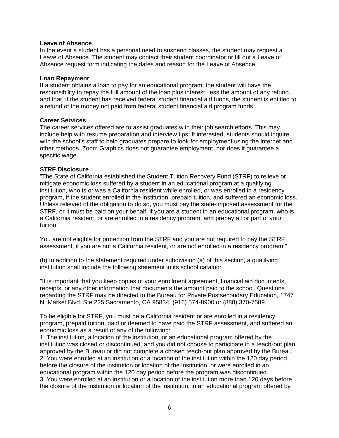#### **Leave of Absence**

In the event a student has a personal need to suspend classes, the student may request a Leave of Absence. The student may contact their student coordinator or fill out a Leave of Absence request form indicating the dates and reason for the Leave of Absence.

## **Loan Repayment**

If a student obtains a loan to pay for an educational program, the student will have the responsibility to repay the full amount of the loan plus interest, less the amount of any refund, and that, if the student has received federal student financial aid funds, the student is entitled to a refund of the money not paid from federal student financial aid program funds.

# **Career Services**

The career services offered are to assist graduates with their job search efforts. This may include help with resume preparation and interview tips. If interested, students should inquire with the school's staff to help graduates prepare to look for employment using the internet and other methods. Zoom Graphics does not guarantee employment, nor does it guarantee a specific wage.

# **STRF Disclosure**

"The State of California established the Student Tuition Recovery Fund (STRF) to relieve or mitigate economic loss suffered by a student in an educational program at a qualifying institution, who is or was a California resident while enrolled, or was enrolled in a residency program, if the student enrolled in the institution, prepaid tuition, and suffered an economic loss. Unless relieved of the obligation to do so, you must pay the state-imposed assessment for the STRF, or it must be paid on your behalf, if you are a student in an educational program, who is a California resident, or are enrolled in a residency program, and prepay all or part of your tuition.

You are not eligible for protection from the STRF and you are not required to pay the STRF assessment, if you are not a California resident, or are not enrolled in a residency program."

(b) In addition to the statement required under subdivision (a) of this section, a qualifying institution shall include the following statement in its school catalog:

"It is important that you keep copies of your enrollment agreement, financial aid documents, receipts, or any other information that documents the amount paid to the school. Questions regarding the STRF may be directed to the Bureau for Private Postsecondary Education, 1747 N. Market Blvd. Ste 225 Sacramento, CA 95834, (916) 574-8900 or (888) 370-7589.

To be eligible for STRF, you must be a California resident or are enrolled in a residency program, prepaid tuition, paid or deemed to have paid the STRF assessment, and suffered an economic loss as a result of any of the following:

1. The institution, a location of the institution, or an educational program offered by the institution was closed or discontinued, and you did not choose to participate in a teach-out plan approved by the Bureau or did not complete a chosen teach-out plan approved by the Bureau. 2. You were enrolled at an institution or a location of the institution within the 120 day period before the closure of the institution or location of the institution, or were enrolled in an educational program within the 120 day period before the program was discontinued. 3. You were enrolled at an institution or a location of the institution more than 120 days before the closure of the institution or location of the institution, in an educational program offered by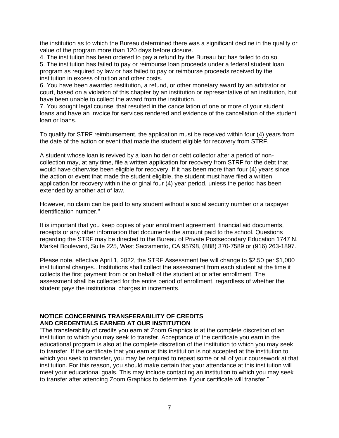the institution as to which the Bureau determined there was a significant decline in the quality or value of the program more than 120 days before closure.

4. The institution has been ordered to pay a refund by the Bureau but has failed to do so.

5. The institution has failed to pay or reimburse loan proceeds under a federal student loan program as required by law or has failed to pay or reimburse proceeds received by the institution in excess of tuition and other costs.

6. You have been awarded restitution, a refund, or other monetary award by an arbitrator or court, based on a violation of this chapter by an institution or representative of an institution, but have been unable to collect the award from the institution.

7. You sought legal counsel that resulted in the cancellation of one or more of your student loans and have an invoice for services rendered and evidence of the cancellation of the student loan or loans.

To qualify for STRF reimbursement, the application must be received within four (4) years from the date of the action or event that made the student eligible for recovery from STRF.

A student whose loan is revived by a loan holder or debt collector after a period of noncollection may, at any time, file a written application for recovery from STRF for the debt that would have otherwise been eligible for recovery. If it has been more than four (4) years since the action or event that made the student eligible, the student must have filed a written application for recovery within the original four (4) year period, unless the period has been extended by another act of law.

However, no claim can be paid to any student without a social security number or a taxpayer identification number."

It is important that you keep copies of your enrollment agreement, financial aid documents, receipts or any other information that documents the amount paid to the school. Questions regarding the STRF may be directed to the Bureau of Private Postsecondary Education 1747 N. Market Boulevard, Suite 225, West Sacramento, CA 95798, (888) 370-7589 or (916) 263-1897.

Please note, effective April 1, 2022, the STRF Assessment fee will change to \$2.50 per \$1,000 institutional charges.. Institutions shall collect the assessment from each student at the time it collects the first payment from or on behalf of the student at or after enrollment. The assessment shall be collected for the entire period of enrollment, regardless of whether the student pays the institutional charges in increments.

# **NOTICE CONCERNING TRANSFERABILITY OF CREDITS AND CREDENTIALS EARNED AT OUR INSTITUTION**

"The transferability of credits you earn at Zoom Graphics is at the complete discretion of an institution to which you may seek to transfer. Acceptance of the certificate you earn in the educational program is also at the complete discretion of the institution to which you may seek to transfer. If the certificate that you earn at this institution is not accepted at the institution to which you seek to transfer, you may be required to repeat some or all of your coursework at that institution. For this reason, you should make certain that your attendance at this institution will meet your educational goals. This may include contacting an institution to which you may seek to transfer after attending Zoom Graphics to determine if your certificate will transfer."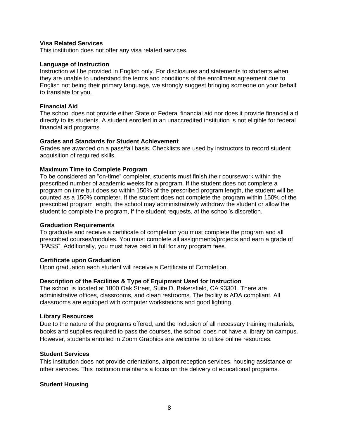# **Visa Related Services**

This institution does not offer any visa related services.

#### **Language of Instruction**

Instruction will be provided in English only. For disclosures and statements to students when they are unable to understand the terms and conditions of the enrollment agreement due to English not being their primary language, we strongly suggest bringing someone on your behalf to translate for you.

#### **Financial Aid**

The school does not provide either State or Federal financial aid nor does it provide financial aid directly to its students. A student enrolled in an unaccredited institution is not eligible for federal financial aid programs.

# **Grades and Standards for Student Achievement**

Grades are awarded on a pass/fail basis. Checklists are used by instructors to record student acquisition of required skills.

# **Maximum Time to Complete Program**

To be considered an "on-time" completer, students must finish their coursework within the prescribed number of academic weeks for a program. If the student does not complete a program on time but does so within 150% of the prescribed program length, the student will be counted as a 150% completer. If the student does not complete the program within 150% of the prescribed program length, the school may administratively withdraw the student or allow the student to complete the program, if the student requests, at the school's discretion.

#### **Graduation Requirements**

To graduate and receive a certificate of completion you must complete the program and all prescribed courses/modules. You must complete all assignments/projects and earn a grade of "PASS". Additionally, you must have paid in full for any program fees.

#### **Certificate upon Graduation**

Upon graduation each student will receive a Certificate of Completion.

# **Description of the Facilities & Type of Equipment Used for Instruction**

The school is located at 1800 Oak Street, Suite D, Bakersfield, CA 93301. There are administrative offices, classrooms, and clean restrooms. The facility is ADA compliant. All classrooms are equipped with computer workstations and good lighting.

#### **Library Resources**

Due to the nature of the programs offered, and the inclusion of all necessary training materials, books and supplies required to pass the courses, the school does not have a library on campus. However, students enrolled in Zoom Graphics are welcome to utilize online resources.

#### **Student Services**

This institution does not provide orientations, airport reception services, housing assistance or other services. This institution maintains a focus on the delivery of educational programs.

#### **Student Housing**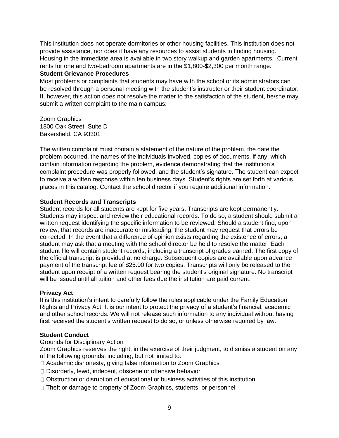This institution does not operate dormitories or other housing facilities. This institution does not provide assistance, nor does it have any resources to assist students in finding housing. Housing in the immediate area is available in two story walkup and garden apartments. Current rents for one and two-bedroom apartments are in the \$1,800-\$2,300 per month range.

# **Student Grievance Procedures**

Most problems or complaints that students may have with the school or its administrators can be resolved through a personal meeting with the student's instructor or their student coordinator. If, however, this action does not resolve the matter to the satisfaction of the student, he/she may submit a written complaint to the main campus:

Zoom Graphics 1800 Oak Street, Suite D Bakersfield, CA 93301

The written complaint must contain a statement of the nature of the problem, the date the problem occurred, the names of the individuals involved, copies of documents, if any, which contain information regarding the problem, evidence demonstrating that the institution's complaint procedure was properly followed, and the student's signature. The student can expect to receive a written response within ten business days. Student's rights are set forth at various places in this catalog. Contact the school director if you require additional information.

# **Student Records and Transcripts**

Student records for all students are kept for five years. Transcripts are kept permanently. Students may inspect and review their educational records. To do so, a student should submit a written request identifying the specific information to be reviewed. Should a student find, upon review, that records are inaccurate or misleading; the student may request that errors be corrected. In the event that a difference of opinion exists regarding the existence of errors, a student may ask that a meeting with the school director be held to resolve the matter. Each student file will contain student records, including a transcript of grades earned. The first copy of the official transcript is provided at no charge. Subsequent copies are available upon advance payment of the transcript fee of \$25.00 for two copies. Transcripts will only be released to the student upon receipt of a written request bearing the student's original signature. No transcript will be issued until all tuition and other fees due the institution are paid current.

# **Privacy Act**

It is this institution's intent to carefully follow the rules applicable under the Family Education Rights and Privacy Act. It is our intent to protect the privacy of a student's financial, academic and other school records. We will not release such information to any individual without having first received the student's written request to do so, or unless otherwise required by law.

# **Student Conduct**

#### Grounds for Disciplinary Action

Zoom Graphics reserves the right, in the exercise of their judgment, to dismiss a student on any of the following grounds, including, but not limited to:

- □ Academic dishonesty, giving false information to Zoom Graphics
- □ Disorderly, lewd, indecent, obscene or offensive behavior
- $\Box$  Obstruction or disruption of educational or business activities of this institution
- □ Theft or damage to property of Zoom Graphics, students, or personnel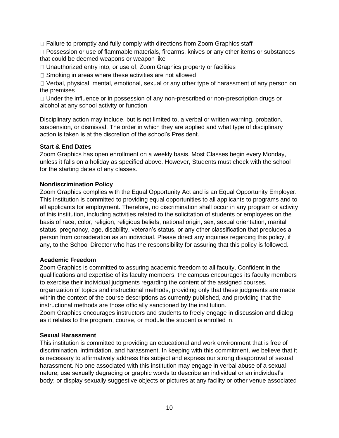$\Box$  Failure to promptly and fully comply with directions from Zoom Graphics staff

□ Possession or use of flammable materials, firearms, knives or any other items or substances that could be deemed weapons or weapon like

□ Unauthorized entry into, or use of, Zoom Graphics property or facilities

 $\Box$  Smoking in areas where these activities are not allowed

 $\Box$  Verbal, physical, mental, emotional, sexual or any other type of harassment of any person on the premises

 $\Box$  Under the influence or in possession of any non-prescribed or non-prescription drugs or alcohol at any school activity or function

Disciplinary action may include, but is not limited to, a verbal or written warning, probation, suspension, or dismissal. The order in which they are applied and what type of disciplinary action is taken is at the discretion of the school's President.

# **Start & End Dates**

Zoom Graphics has open enrollment on a weekly basis. Most Classes begin every Monday, unless it falls on a holiday as specified above. However, Students must check with the school for the starting dates of any classes.

# **Nondiscrimination Policy**

Zoom Graphics complies with the Equal Opportunity Act and is an Equal Opportunity Employer. This institution is committed to providing equal opportunities to all applicants to programs and to all applicants for employment. Therefore, no discrimination shall occur in any program or activity of this institution, including activities related to the solicitation of students or employees on the basis of race, color, religion, religious beliefs, national origin, sex, sexual orientation, marital status, pregnancy, age, disability, veteran's status, or any other classification that precludes a person from consideration as an individual. Please direct any inquiries regarding this policy, if any, to the School Director who has the responsibility for assuring that this policy is followed.

# **Academic Freedom**

Zoom Graphics is committed to assuring academic freedom to all faculty. Confident in the qualifications and expertise of its faculty members, the campus encourages its faculty members to exercise their individual judgments regarding the content of the assigned courses, organization of topics and instructional methods, providing only that these judgments are made within the context of the course descriptions as currently published, and providing that the instructional methods are those officially sanctioned by the institution.

Zoom Graphics encourages instructors and students to freely engage in discussion and dialog as it relates to the program, course, or module the student is enrolled in.

#### **Sexual Harassment**

This institution is committed to providing an educational and work environment that is free of discrimination, intimidation, and harassment. In keeping with this commitment, we believe that it is necessary to affirmatively address this subject and express our strong disapproval of sexual harassment. No one associated with this institution may engage in verbal abuse of a sexual nature; use sexually degrading or graphic words to describe an individual or an individual's body; or display sexually suggestive objects or pictures at any facility or other venue associated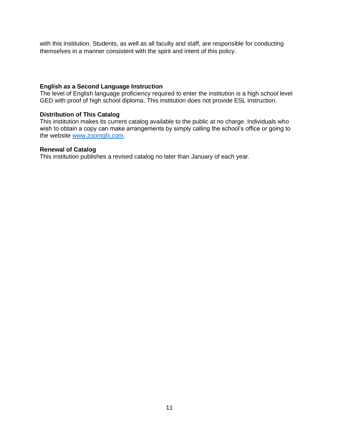with this institution. Students, as well as all faculty and staff, are responsible for conducting themselves in a manner consistent with the spirit and intent of this policy.

# **English as a Second Language Instruction**

The level of English language proficiency required to enter the institution is a high school level GED with proof of high school diploma. This institution does not provide ESL instruction.

# **Distribution of This Catalog**

This institution makes its current catalog available to the public at no charge. Individuals who wish to obtain a copy can make arrangements by simply calling the school's office or going to the website [www.zoomgfx.com.](http://www.zoomgfx.com/)

# **Renewal of Catalog**

This institution publishes a revised catalog no later than January of each year.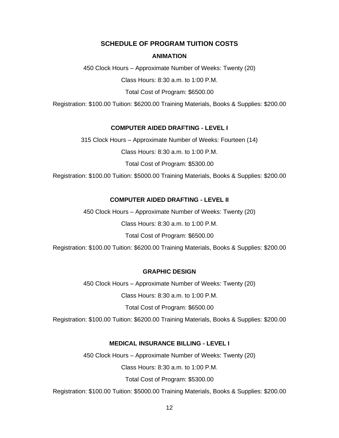# **SCHEDULE OF PROGRAM TUITION COSTS**

#### **ANIMATION**

450 Clock Hours – Approximate Number of Weeks: Twenty (20)

Class Hours: 8:30 a.m. to 1:00 P.M.

Total Cost of Program: \$6500.00

Registration: \$100.00 Tuition: \$6200.00 Training Materials, Books & Supplies: \$200.00

# **COMPUTER AIDED DRAFTING - LEVEL I**

315 Clock Hours – Approximate Number of Weeks: Fourteen (14)

Class Hours: 8:30 a.m. to 1:00 P.M.

Total Cost of Program: \$5300.00

Registration: \$100.00 Tuition: \$5000.00 Training Materials, Books & Supplies: \$200.00

#### **COMPUTER AIDED DRAFTING - LEVEL II**

450 Clock Hours – Approximate Number of Weeks: Twenty (20)

Class Hours: 8:30 a.m. to 1:00 P.M.

Total Cost of Program: \$6500.00

Registration: \$100.00 Tuition: \$6200.00 Training Materials, Books & Supplies: \$200.00

# **GRAPHIC DESIGN**

450 Clock Hours – Approximate Number of Weeks: Twenty (20)

Class Hours: 8:30 a.m. to 1:00 P.M.

Total Cost of Program: \$6500.00

Registration: \$100.00 Tuition: \$6200.00 Training Materials, Books & Supplies: \$200.00

#### **MEDICAL INSURANCE BILLING - LEVEL I**

450 Clock Hours – Approximate Number of Weeks: Twenty (20)

Class Hours: 8:30 a.m. to 1:00 P.M.

Total Cost of Program: \$5300.00

Registration: \$100.00 Tuition: \$5000.00 Training Materials, Books & Supplies: \$200.00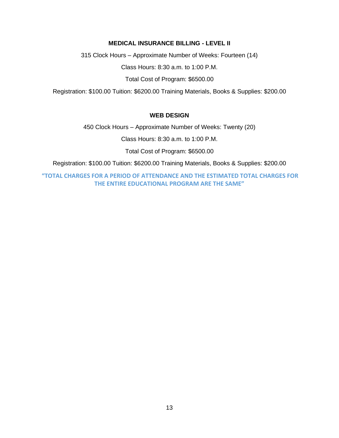# **MEDICAL INSURANCE BILLING - LEVEL II**

315 Clock Hours – Approximate Number of Weeks: Fourteen (14)

Class Hours: 8:30 a.m. to 1:00 P.M.

Total Cost of Program: \$6500.00

Registration: \$100.00 Tuition: \$6200.00 Training Materials, Books & Supplies: \$200.00

# **WEB DESIGN**

450 Clock Hours – Approximate Number of Weeks: Twenty (20)

Class Hours: 8:30 a.m. to 1:00 P.M.

Total Cost of Program: \$6500.00

Registration: \$100.00 Tuition: \$6200.00 Training Materials, Books & Supplies: \$200.00

**"TOTAL CHARGES FOR A PERIOD OF ATTENDANCE AND THE ESTIMATED TOTAL CHARGES FOR THE ENTIRE EDUCATIONAL PROGRAM ARE THE SAME"**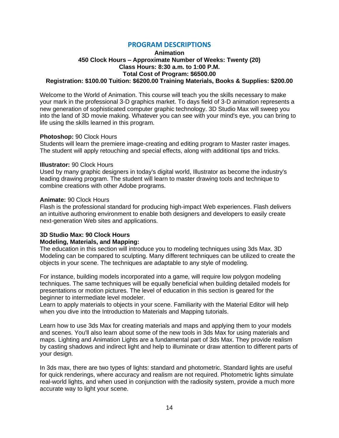# **PROGRAM DESCRIPTIONS**

#### **Animation 450 Clock Hours – Approximate Number of Weeks: Twenty (20) Class Hours: 8:30 a.m. to 1:00 P.M. Total Cost of Program: \$6500.00 Registration: \$100.00 Tuition: \$6200.00 Training Materials, Books & Supplies: \$200.00**

Welcome to the World of Animation. This course will teach you the skills necessary to make your mark in the professional 3-D graphics market. To days field of 3-D animation represents a new generation of sophisticated computer graphic technology. 3D Studio Max will sweep you into the land of 3D movie making. Whatever you can see with your mind's eye, you can bring to life using the skills learned in this program.

#### **Photoshop:** 90 Clock Hours

Students will learn the premiere image-creating and editing program to Master raster images. The student will apply retouching and special effects, along with additional tips and tricks.

#### **Illustrator:** 90 Clock Hours

Used by many graphic designers in today's digital world, Illustrator as become the industry's leading drawing program. The student will learn to master drawing tools and technique to combine creations with other Adobe programs.

#### **Animate:** 90 Clock Hours

Flash is the professional standard for producing high-impact Web experiences. Flash delivers an intuitive authoring environment to enable both designers and developers to easily create next-generation Web sites and applications.

# **3D Studio Max: 90 Clock Hours Modeling, Materials, and Mapping:**

The education in this section will introduce you to modeling techniques using 3ds Max. 3D Modeling can be compared to sculpting. Many different techniques can be utilized to create the objects in your scene. The techniques are adaptable to any style of modeling.

For instance, building models incorporated into a game, will require low polygon modeling techniques. The same techniques will be equally beneficial when building detailed models for presentations or motion pictures. The level of education in this section is geared for the beginner to intermediate level modeler.

Learn to apply materials to objects in your scene. Familiarity with the Material Editor will help when you dive into the Introduction to Materials and Mapping tutorials.

Learn how to use 3ds Max for creating materials and maps and applying them to your models and scenes. You'll also learn about some of the new tools in 3ds Max for using materials and maps. Lighting and Animation Lights are a fundamental part of 3ds Max. They provide realism by casting shadows and indirect light and help to illuminate or draw attention to different parts of your design.

In 3ds max, there are two types of lights: standard and photometric. Standard lights are useful for quick renderings, where accuracy and realism are not required. Photometric lights simulate real-world lights, and when used in conjunction with the radiosity system, provide a much more accurate way to light your scene.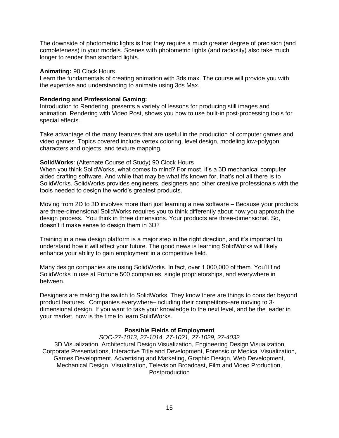The downside of photometric lights is that they require a much greater degree of precision (and completeness) in your models. Scenes with photometric lights (and radiosity) also take much longer to render than standard lights.

#### **Animating:** 90 Clock Hours

Learn the fundamentals of creating animation with 3ds max. The course will provide you with the expertise and understanding to animate using 3ds Max.

#### **Rendering and Professional Gaming:**

Introduction to Rendering, presents a variety of lessons for producing still images and animation. Rendering with Video Post, shows you how to use built-in post-processing tools for special effects.

Take advantage of the many features that are useful in the production of computer games and video games. Topics covered include vertex coloring, level design, modeling low-polygon characters and objects, and texture mapping.

# **SolidWorks**: (Alternate Course of Study) 90 Clock Hours

When you think SolidWorks, what comes to mind? For most, it's a 3D mechanical computer aided drafting software. And while that may be what it's known for, that's not all there is to SolidWorks. SolidWorks provides engineers, designers and other creative professionals with the tools needed to design the world's greatest products.

Moving from 2D to 3D involves more than just learning a new software – Because your products are three-dimensional SolidWorks requires you to think differently about how you approach the design process. You think in three dimensions. Your products are three-dimensional. So, doesn't it make sense to design them in 3D?

Training in a new design platform is a major step in the right direction, and it's important to understand how it will affect your future. The good news is learning SolidWorks will likely enhance your ability to gain employment in a competitive field.

Many design companies are using SolidWorks. In fact, over 1,000,000 of them. You'll find SolidWorks in use at Fortune 500 companies, single proprietorships, and everywhere in between.

Designers are making the switch to SolidWorks. They know there are things to consider beyond product features. Companies everywhere–including their competitors–are moving to 3 dimensional design. If you want to take your knowledge to the next level, and be the leader in your market, now is the time to learn SolidWorks.

# **Possible Fields of Employment**

*SOC-27-1013, 27-1014, 27-1021, 27-1029, 27-4032* 3D Visualization, Architectural Design Visualization, Engineering Design Visualization, Corporate Presentations, Interactive Title and Development, Forensic or Medical Visualization, Games Development, Advertising and Marketing, Graphic Design, Web Development, Mechanical Design, Visualization, Television Broadcast, Film and Video Production, Postproduction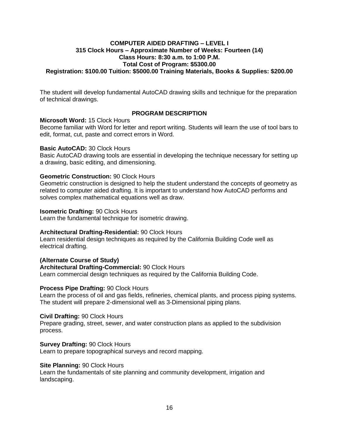# **COMPUTER AIDED DRAFTING – LEVEL I 315 Clock Hours – Approximate Number of Weeks: Fourteen (14) Class Hours: 8:30 a.m. to 1:00 P.M. Total Cost of Program: \$5300.00 Registration: \$100.00 Tuition: \$5000.00 Training Materials, Books & Supplies: \$200.00**

The student will develop fundamental AutoCAD drawing skills and technique for the preparation of technical drawings.

# **PROGRAM DESCRIPTION**

**Microsoft Word:** 15 Clock Hours

Become familiar with Word for letter and report writing. Students will learn the use of tool bars to edit, format, cut, paste and correct errors in Word.

# **Basic AutoCAD:** 30 Clock Hours

Basic AutoCAD drawing tools are essential in developing the technique necessary for setting up a drawing, basic editing, and dimensioning.

# **Geometric Construction:** 90 Clock Hours

Geometric construction is designed to help the student understand the concepts of geometry as related to computer aided drafting. It is important to understand how AutoCAD performs and solves complex mathematical equations well as draw.

#### **Isometric Drafting:** 90 Clock Hours

Learn the fundamental technique for isometric drawing.

#### **Architectural Drafting-Residential:** 90 Clock Hours

Learn residential design techniques as required by the California Building Code well as electrical drafting.

# **(Alternate Course of Study)**

#### **Architectural Drafting-Commercial:** 90 Clock Hours

Learn commercial design techniques as required by the California Building Code.

#### **Process Pipe Drafting:** 90 Clock Hours

Learn the process of oil and gas fields, refineries, chemical plants, and process piping systems. The student will prepare 2-dimensional well as 3-Dimensional piping plans.

#### **Civil Drafting:** 90 Clock Hours

Prepare grading, street, sewer, and water construction plans as applied to the subdivision process.

#### **Survey Drafting:** 90 Clock Hours

Learn to prepare topographical surveys and record mapping.

#### **Site Planning:** 90 Clock Hours

Learn the fundamentals of site planning and community development, irrigation and landscaping.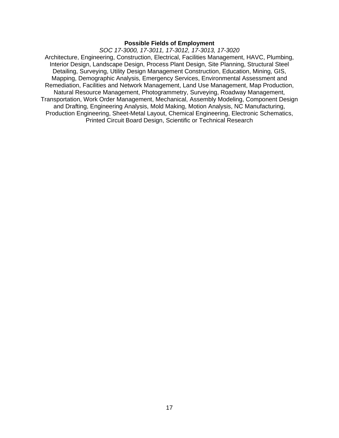#### **Possible Fields of Employment**

*SOC 17-3000, 17-3011, 17-3012, 17-3013, 17-3020* Architecture, Engineering, Construction, Electrical, Facilities Management, HAVC, Plumbing, Interior Design, Landscape Design, Process Plant Design, Site Planning, Structural Steel Detailing, Surveying, Utility Design Management Construction, Education, Mining, GIS, Mapping, Demographic Analysis, Emergency Services, Environmental Assessment and Remediation, Facilities and Network Management, Land Use Management, Map Production, Natural Resource Management, Photogrammetry, Surveying, Roadway Management, Transportation, Work Order Management, Mechanical, Assembly Modeling, Component Design and Drafting, Engineering Analysis, Mold Making, Motion Analysis, NC Manufacturing, Production Engineering, Sheet-Metal Layout, Chemical Engineering, Electronic Schematics, Printed Circuit Board Design, Scientific or Technical Research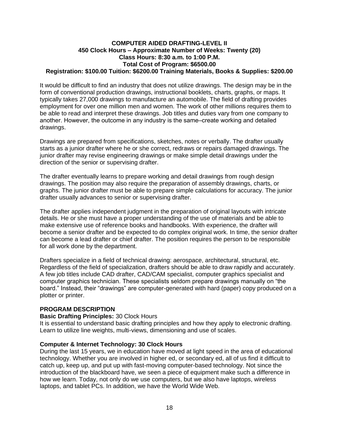# **COMPUTER AIDED DRAFTING-LEVEL II 450 Clock Hours – Approximate Number of Weeks: Twenty (20) Class Hours: 8:30 a.m. to 1:00 P.M. Total Cost of Program: \$6500.00 Registration: \$100.00 Tuition: \$6200.00 Training Materials, Books & Supplies: \$200.00**

It would be difficult to find an industry that does not utilize drawings. The design may be in the form of conventional production drawings, instructional booklets, charts, graphs, or maps. It typically takes 27,000 drawings to manufacture an automobile. The field of drafting provides employment for over one million men and women. The work of other millions requires them to be able to read and interpret these drawings. Job titles and duties vary from one company to another. However, the outcome in any industry is the same–create working and detailed drawings.

Drawings are prepared from specifications, sketches, notes or verbally. The drafter usually starts as a junior drafter where he or she correct, redraws or repairs damaged drawings. The junior drafter may revise engineering drawings or make simple detail drawings under the direction of the senior or supervising drafter.

The drafter eventually learns to prepare working and detail drawings from rough design drawings. The position may also require the preparation of assembly drawings, charts, or graphs. The junior drafter must be able to prepare simple calculations for accuracy. The junior drafter usually advances to senior or supervising drafter.

The drafter applies independent judgment in the preparation of original layouts with intricate details. He or she must have a proper understanding of the use of materials and be able to make extensive use of reference books and handbooks. With experience, the drafter will become a senior drafter and be expected to do complex original work. In time, the senior drafter can become a lead drafter or chief drafter. The position requires the person to be responsible for all work done by the department.

Drafters specialize in a field of technical drawing: aerospace, architectural, structural, etc. Regardless of the field of specialization, drafters should be able to draw rapidly and accurately. A few job titles include CAD drafter, CAD/CAM specialist, computer graphics specialist and computer graphics technician. These specialists seldom prepare drawings manually on "the board." Instead, their "drawings" are computer-generated with hard (paper) copy produced on a plotter or printer.

# **PROGRAM DESCRIPTION**

#### **Basic Drafting Principles:** 30 Clock Hours

It is essential to understand basic drafting principles and how they apply to electronic drafting. Learn to utilize line weights, multi-views, dimensioning and use of scales.

#### **Computer & Internet Technology: 30 Clock Hours**

During the last 15 years, we in education have moved at light speed in the area of educational technology. Whether you are involved in higher ed, or secondary ed, all of us find it difficult to catch up, keep up, and put up with fast-moving computer-based technology. Not since the introduction of the blackboard have, we seen a piece of equipment make such a difference in how we learn. Today, not only do we use computers, but we also have laptops, wireless laptops, and tablet PCs. In addition, we have the World Wide Web.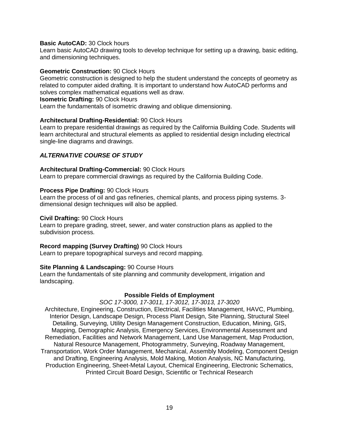# **Basic AutoCAD:** 30 Clock hours

Learn basic AutoCAD drawing tools to develop technique for setting up a drawing, basic editing, and dimensioning techniques.

## **Geometric Construction:** 90 Clock Hours

Geometric construction is designed to help the student understand the concepts of geometry as related to computer aided drafting. It is important to understand how AutoCAD performs and solves complex mathematical equations well as draw.

#### **Isometric Drafting:** 90 Clock Hours

Learn the fundamentals of isometric drawing and oblique dimensioning.

# **Architectural Drafting-Residential:** 90 Clock Hours

Learn to prepare residential drawings as required by the California Building Code. Students will learn architectural and structural elements as applied to residential design including electrical single-line diagrams and drawings.

# *ALTERNATIVE COURSE OF STUDY*

#### **Architectural Drafting-Commercial:** 90 Clock Hours

Learn to prepare commercial drawings as required by the California Building Code.

# **Process Pipe Drafting:** 90 Clock Hours

Learn the process of oil and gas refineries, chemical plants, and process piping systems. 3 dimensional design techniques will also be applied.

## **Civil Drafting:** 90 Clock Hours

Learn to prepare grading, street, sewer, and water construction plans as applied to the subdivision process.

# **Record mapping (Survey Drafting)** 90 Clock Hours

Learn to prepare topographical surveys and record mapping.

#### **Site Planning & Landscaping:** 90 Course Hours

Learn the fundamentals of site planning and community development, irrigation and landscaping.

#### **Possible Fields of Employment**

#### *SOC 17-3000, 17-3011, 17-3012, 17-3013, 17-3020*

Architecture, Engineering, Construction, Electrical, Facilities Management, HAVC, Plumbing, Interior Design, Landscape Design, Process Plant Design, Site Planning, Structural Steel Detailing, Surveying, Utility Design Management Construction, Education, Mining, GIS, Mapping, Demographic Analysis, Emergency Services, Environmental Assessment and Remediation, Facilities and Network Management, Land Use Management, Map Production, Natural Resource Management, Photogrammetry, Surveying, Roadway Management, Transportation, Work Order Management, Mechanical, Assembly Modeling, Component Design and Drafting, Engineering Analysis, Mold Making, Motion Analysis, NC Manufacturing, Production Engineering, Sheet-Metal Layout, Chemical Engineering, Electronic Schematics, Printed Circuit Board Design, Scientific or Technical Research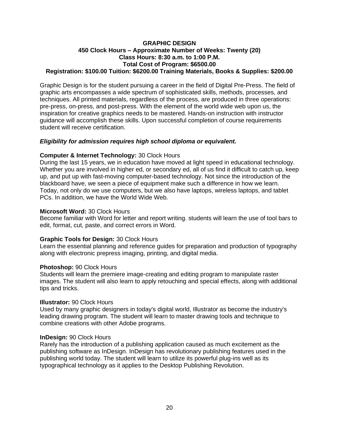#### **GRAPHIC DESIGN 450 Clock Hours – Approximate Number of Weeks: Twenty (20) Class Hours: 8:30 a.m. to 1:00 P.M. Total Cost of Program: \$6500.00 Registration: \$100.00 Tuition: \$6200.00 Training Materials, Books & Supplies: \$200.00**

Graphic Design is for the student pursuing a career in the field of Digital Pre-Press. The field of graphic arts encompasses a wide spectrum of sophisticated skills, methods, processes, and techniques. All printed materials, regardless of the process, are produced in three operations: pre-press, on-press, and post-press. With the element of the world wide web upon us, the inspiration for creative graphics needs to be mastered. Hands-on instruction with instructor guidance will accomplish these skills. Upon successful completion of course requirements student will receive certification.

# *Eligibility for admission requires high school diploma or equivalent.*

# **Computer & Internet Technology:** 30 Clock Hours

During the last 15 years, we in education have moved at light speed in educational technology. Whether you are involved in higher ed, or secondary ed, all of us find it difficult to catch up, keep up, and put up with fast-moving computer-based technology. Not since the introduction of the blackboard have, we seen a piece of equipment make such a difference in how we learn. Today, not only do we use computers, but we also have laptops, wireless laptops, and tablet PCs. In addition, we have the World Wide Web.

#### **Microsoft Word:** 30 Clock Hours

Become familiar with Word for letter and report writing. students will learn the use of tool bars to edit, format, cut, paste, and correct errors in Word.

# **Graphic Tools for Design:** 30 Clock Hours

Learn the essential planning and reference guides for preparation and production of typography along with electronic prepress imaging, printing, and digital media.

#### **Photoshop:** 90 Clock Hours

Students will learn the premiere image-creating and editing program to manipulate raster images. The student will also learn to apply retouching and special effects, along with additional tips and tricks.

#### **Illustrator:** 90 Clock Hours

Used by many graphic designers in today's digital world, Illustrator as become the industry's leading drawing program. The student will learn to master drawing tools and technique to combine creations with other Adobe programs.

#### **InDesign:** 90 Clock Hours

Rarely has the introduction of a publishing application caused as much excitement as the publishing software as InDesign. InDesign has revolutionary publishing features used in the publishing world today. The student will learn to utilize its powerful plug-ins well as its typographical technology as it applies to the Desktop Publishing Revolution.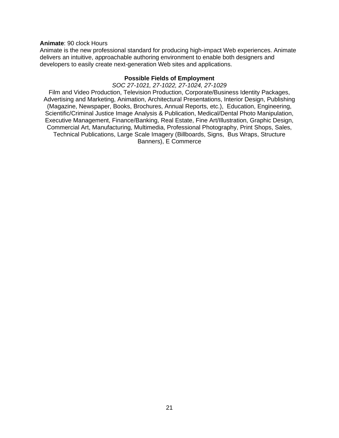#### **Animate**: 90 clock Hours

Animate is the new professional standard for producing high-impact Web experiences. Animate delivers an intuitive, approachable authoring environment to enable both designers and developers to easily create next-generation Web sites and applications.

#### **Possible Fields of Employment**

*SOC 27-1021, 27-1022, 27-1024, 27-1029*

Film and Video Production, Television Production, Corporate/Business Identity Packages, Advertising and Marketing, Animation, Architectural Presentations, Interior Design, Publishing (Magazine, Newspaper, Books, Brochures, Annual Reports, etc.), Education, Engineering, Scientific/Criminal Justice Image Analysis & Publication, Medical/Dental Photo Manipulation, Executive Management, Finance/Banking, Real Estate, Fine Art/Illustration, Graphic Design, Commercial Art, Manufacturing, Multimedia, Professional Photography, Print Shops, Sales, Technical Publications, Large Scale Imagery (Billboards, Signs, Bus Wraps, Structure Banners), E Commerce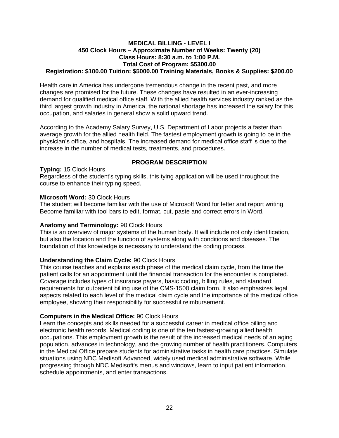#### **MEDICAL BILLING - LEVEL I 450 Clock Hours – Approximate Number of Weeks: Twenty (20) Class Hours: 8:30 a.m. to 1:00 P.M. Total Cost of Program: \$5300.00 Registration: \$100.00 Tuition: \$5000.00 Training Materials, Books & Supplies: \$200.00**

Health care in America has undergone tremendous change in the recent past, and more changes are promised for the future. These changes have resulted in an ever-increasing demand for qualified medical office staff. With the allied health services industry ranked as the third largest growth industry in America, the national shortage has increased the salary for this occupation, and salaries in general show a solid upward trend.

According to the Academy Salary Survey, U.S. Department of Labor projects a faster than average growth for the allied health field. The fastest employment growth is going to be in the physician's office, and hospitals. The increased demand for medical office staff is due to the increase in the number of medical tests, treatments, and procedures.

# **PROGRAM DESCRIPTION**

**Typing:** 15 Clock Hours

Regardless of the student's typing skills, this tying application will be used throughout the course to enhance their typing speed.

# **Microsoft Word:** 30 Clock Hours

The student will become familiar with the use of Microsoft Word for letter and report writing. Become familiar with tool bars to edit, format, cut, paste and correct errors in Word.

# **Anatomy and Terminology:** 90 Clock Hours

This is an overview of major systems of the human body. It will include not only identification, but also the location and the function of systems along with conditions and diseases. The foundation of this knowledge is necessary to understand the coding process.

# **Understanding the Claim Cycle:** 90 Clock Hours

This course teaches and explains each phase of the medical claim cycle, from the time the patient calls for an appointment until the financial transaction for the encounter is completed. Coverage includes types of insurance payers, basic coding, billing rules, and standard requirements for outpatient billing use of the CMS-1500 claim form. It also emphasizes legal aspects related to each level of the medical claim cycle and the importance of the medical office employee, showing their responsibility for successful reimbursement.

# **Computers in the Medical Office:** 90 Clock Hours

Learn the concepts and skills needed for a successful career in medical office billing and electronic health records. Medical coding is one of the ten fastest-growing allied health occupations. This employment growth is the result of the increased medical needs of an aging population, advances in technology, and the growing number of health practitioners. Computers in the Medical Office prepare students for administrative tasks in health care practices. Simulate situations using NDC Medisoft Advanced, widely used medical administrative software. While progressing through NDC Medisoft's menus and windows, learn to input patient information, schedule appointments, and enter transactions.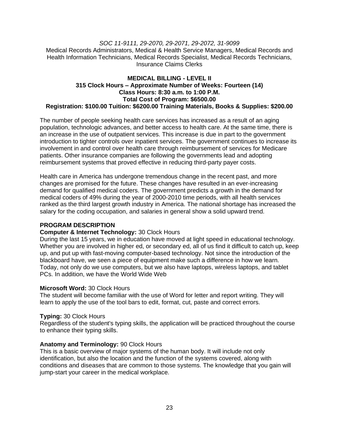# *SOC 11-9111, 29-2070, 29-2071, 29-2072, 31-9099* Medical Records Administrators, Medical & Health Service Managers, Medical Records and Health Information Technicians, Medical Records Specialist, Medical Records Technicians, Insurance Claims Clerks

# **MEDICAL BILLING - LEVEL II 315 Clock Hours – Approximate Number of Weeks: Fourteen (14) Class Hours: 8:30 a.m. to 1:00 P.M. Total Cost of Program: \$6500.00 Registration: \$100.00 Tuition: \$6200.00 Training Materials, Books & Supplies: \$200.00**

The number of people seeking health care services has increased as a result of an aging population, technologic advances, and better access to health care. At the same time, there is an increase in the use of outpatient services. This increase is due in part to the government introduction to tighter controls over inpatient services. The government continues to increase its involvement in and control over health care through reimbursement of services for Medicare patients. Other insurance companies are following the governments lead and adopting reimbursement systems that proved effective in reducing third-party payer costs.

Health care in America has undergone tremendous change in the recent past, and more changes are promised for the future. These changes have resulted in an ever-increasing demand for qualified medical coders. The government predicts a growth in the demand for medical coders of 49% during the year of 2000-2010 time periods, with all health services ranked as the third largest growth industry in America. The national shortage has increased the salary for the coding occupation, and salaries in general show a solid upward trend.

# **PROGRAM DESCRIPTION**

# **Computer & Internet Technology:** 30 Clock Hours

During the last 15 years, we in education have moved at light speed in educational technology. Whether you are involved in higher ed, or secondary ed, all of us find it difficult to catch up, keep up, and put up with fast-moving computer-based technology. Not since the introduction of the blackboard have, we seen a piece of equipment make such a difference in how we learn. Today, not only do we use computers, but we also have laptops, wireless laptops, and tablet PCs. In addition, we have the World Wide Web

# **Microsoft Word:** 30 Clock Hours

The student will become familiar with the use of Word for letter and report writing. They will learn to apply the use of the tool bars to edit, format, cut, paste and correct errors.

#### **Typing:** 30 Clock Hours

Regardless of the student's typing skills, the application will be practiced throughout the course to enhance their typing skills.

# **Anatomy and Terminology:** 90 Clock Hours

This is a basic overview of major systems of the human body. It will include not only identification, but also the location and the function of the systems covered, along with conditions and diseases that are common to those systems. The knowledge that you gain will jump-start your career in the medical workplace.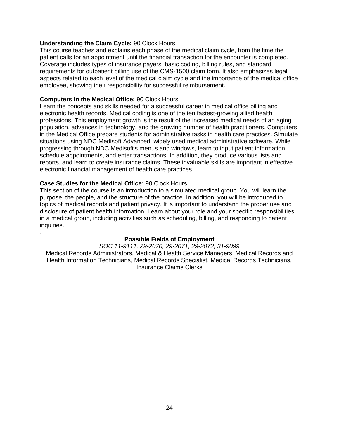# **Understanding the Claim Cycle:** 90 Clock Hours

This course teaches and explains each phase of the medical claim cycle, from the time the patient calls for an appointment until the financial transaction for the encounter is completed. Coverage includes types of insurance payers, basic coding, billing rules, and standard requirements for outpatient billing use of the CMS-1500 claim form. It also emphasizes legal aspects related to each level of the medical claim cycle and the importance of the medical office employee, showing their responsibility for successful reimbursement.

## **Computers in the Medical Office:** 90 Clock Hours

Learn the concepts and skills needed for a successful career in medical office billing and electronic health records. Medical coding is one of the ten fastest-growing allied health professions. This employment growth is the result of the increased medical needs of an aging population, advances in technology, and the growing number of health practitioners. Computers in the Medical Office prepare students for administrative tasks in health care practices. Simulate situations using NDC Medisoft Advanced, widely used medical administrative software. While progressing through NDC Medisoft's menus and windows, learn to input patient information, schedule appointments, and enter transactions. In addition, they produce various lists and reports, and learn to create insurance claims. These invaluable skills are important in effective electronic financial management of health care practices.

# **Case Studies for the Medical Office:** 90 Clock Hours

.

This section of the course is an introduction to a simulated medical group. You will learn the purpose, the people, and the structure of the practice. In addition, you will be introduced to topics of medical records and patient privacy. It is important to understand the proper use and disclosure of patient health information. Learn about your role and your specific responsibilities in a medical group, including activities such as scheduling, billing, and responding to patient inquiries.

#### **Possible Fields of Employment**

*SOC 11-9111, 29-2070, 29-2071, 29-2072, 31-9099* Medical Records Administrators, Medical & Health Service Managers, Medical Records and Health Information Technicians, Medical Records Specialist, Medical Records Technicians, Insurance Claims Clerks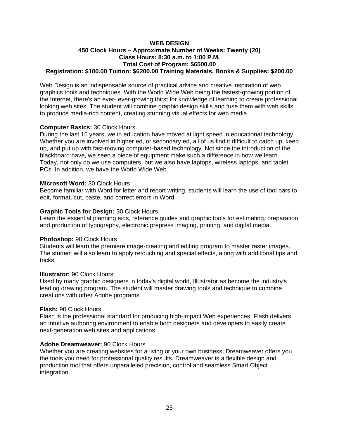#### **WEB DESIGN 450 Clock Hours – Approximate Number of Weeks: Twenty (20) Class Hours: 8:30 a.m. to 1:00 P.M. Total Cost of Program: \$6500.00 Registration: \$100.00 Tuition: \$6200.00 Training Materials, Books & Supplies: \$200.00**

Web Design is an indispensable source of practical advice and creative inspiration of web graphics tools and techniques. With the World Wide Web being the fastest-growing portion of the Internet, there's an ever- ever-growing thirst for knowledge of learning to create professional looking web sites. The student will combine graphic design skills and fuse them with web skills to produce media-rich content, creating stunning visual effects for web media.

# **Computer Basics:** 30 Clock Hours

During the last 15 years, we in education have moved at light speed in educational technology. Whether you are involved in higher ed, or secondary ed, all of us find it difficult to catch up, keep up, and put up with fast-moving computer-based technology. Not since the introduction of the blackboard have, we seen a piece of equipment make such a difference in how we learn. Today, not only do we use computers, but we also have laptops, wireless laptops, and tablet PCs. In addition, we have the World Wide Web.

#### **Microsoft Word:** 30 Clock Hours

Become familiar with Word for letter and report writing. students will learn the use of tool bars to edit, format, cut, paste, and correct errors in Word.

# **Graphic Tools for Design:** 30 Clock Hours

Learn the essential planning aids, reference guides and graphic tools for estimating, preparation and production of typography, electronic prepress imaging, printing, and digital media.

#### **Photoshop:** 90 Clock Hours

Students will learn the premiere image-creating and editing program to master raster images. The student will also learn to apply retouching and special effects, along with additional tips and tricks.

#### **Illustrator:** 90 Clock Hours

Used by many graphic designers in today's digital world, Illustrator as become the industry's leading drawing program. The student will master drawing tools and technique to combine creations with other Adobe programs.

#### **Flash:** 90 Clock Hours

Flash is the professional standard for producing high-impact Web experiences. Flash delivers an intuitive authoring environment to enable both designers and developers to easily create next-generation web sites and applications

#### **Adobe Dreamweaver:** 90 Clock Hours

Whether you are creating websites for a living or your own business, Dreamweaver offers you the tools you need for professional quality results. Dreamweaver is a flexible design and production tool that offers unparalleled precision, control and seamless Smart Object integration.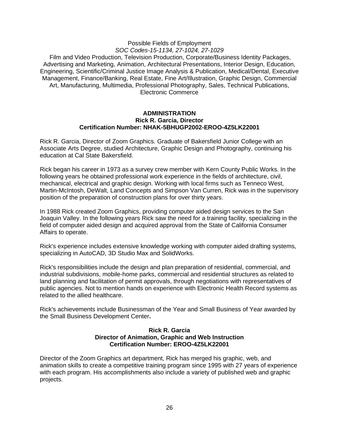#### Possible Fields of Employment *SOC Codes-15-1134, 27-1024, 27-1029* Film and Video Production, Television Production, Corporate/Business Identity Packages, Advertising and Marketing, Animation, Architectural Presentations, Interior Design, Education, Engineering, Scientific/Criminal Justice Image Analysis & Publication, Medical/Dental, Executive Management, Finance/Banking, Real Estate, Fine Art/Illustration, Graphic Design, Commercial Art, Manufacturing, Multimedia, Professional Photography, Sales, Technical Publications, Electronic Commerce

#### **ADMINISTRATION Rick R. Garcia, Director Certification Number: NHAK-5BHUGP2002-EROO-4Z5LK22001**

Rick R. Garcia, Director of Zoom Graphics. Graduate of Bakersfield Junior College with an Associate Arts Degree, studied Architecture, Graphic Design and Photography, continuing his education at Cal State Bakersfield.

Rick began his career in 1973 as a survey crew member with Kern County Public Works. In the following years he obtained professional work experience in the fields of architecture, civil, mechanical, electrical and graphic design. Working with local firms such as Tenneco West, Martin-McIntosh, DeWalt, Land Concepts and Simpson Van Curren, Rick was in the supervisory position of the preparation of construction plans for over thirty years.

In 1988 Rick created Zoom Graphics, providing computer aided design services to the San Joaquin Valley. In the following years Rick saw the need for a training facility, specializing in the field of computer aided design and acquired approval from the State of California Consumer Affairs to operate.

Rick's experience includes extensive knowledge working with computer aided drafting systems, specializing in AutoCAD, 3D Studio Max and SolidWorks.

Rick's responsibilities include the design and plan preparation of residential, commercial, and industrial subdivisions, mobile-home parks, commercial and residential structures as related to land planning and facilitation of permit approvals, through negotiations with representatives of public agencies. Not to mention hands on experience with Electronic Health Record systems as related to the allied healthcare.

Rick's achievements include Businessman of the Year and Small Business of Year awarded by the Small Business Development Center**.**

#### **Rick R. Garcia Director of Animation, Graphic and Web Instruction Certification Number: EROO-4Z5LK22001**

Director of the Zoom Graphics art department, Rick has merged his graphic, web, and animation skills to create a competitive training program since 1995 with 27 years of experience with each program. His accomplishments also include a variety of published web and graphic projects.